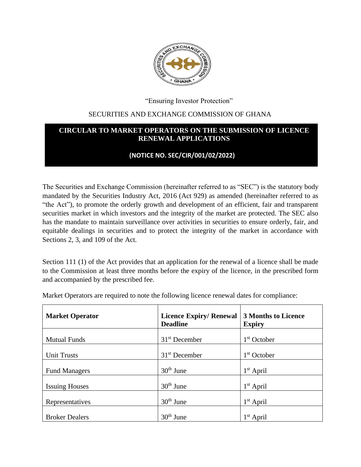

"Ensuring Investor Protection"

## SECURITIES AND EXCHANGE COMMISSION OF GHANA

## **CIRCULAR TO MARKET OPERATORS ON THE SUBMISSION OF LICENCE RENEWAL APPLICATIONS**

## **(NOTICE NO. SEC/CIR/001/02/2022)**

The Securities and Exchange Commission (hereinafter referred to as "SEC") is the statutory body mandated by the Securities Industry Act, 2016 (Act 929) as amended (hereinafter referred to as "the Act"), to promote the orderly growth and development of an efficient, fair and transparent securities market in which investors and the integrity of the market are protected. The SEC also has the mandate to maintain surveillance over activities in securities to ensure orderly, fair, and equitable dealings in securities and to protect the integrity of the market in accordance with Sections 2, 3, and 109 of the Act.

Section 111 (1) of the Act provides that an application for the renewal of a licence shall be made to the Commission at least three months before the expiry of the licence, in the prescribed form and accompanied by the prescribed fee.

| <b>Market Operator</b> | <b>Licence Expiry/ Renewal</b><br><b>Deadline</b> | <b>3 Months to Licence</b><br><b>Expiry</b> |
|------------------------|---------------------------------------------------|---------------------------------------------|
| <b>Mutual Funds</b>    | $31st$ December                                   | $1st$ October                               |
| <b>Unit Trusts</b>     | $31st$ December                                   | $1st$ October                               |
| <b>Fund Managers</b>   | $30th$ June                                       | $1st$ April                                 |
| <b>Issuing Houses</b>  | $30th$ June                                       | $1st$ April                                 |
| Representatives        | $30th$ June                                       | $1st$ April                                 |
| <b>Broker Dealers</b>  | $30th$ June                                       | $1st$ April                                 |

Market Operators are required to note the following licence renewal dates for compliance: